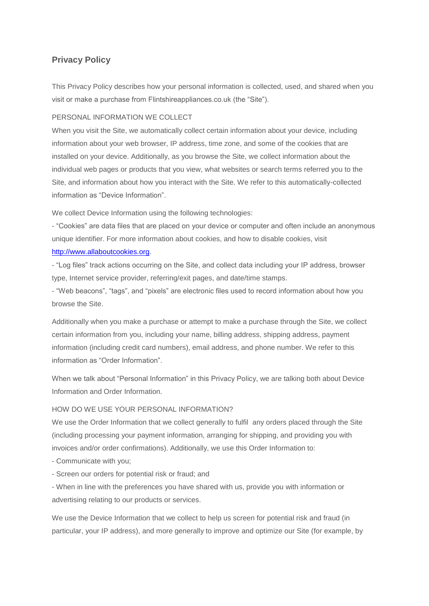# **Privacy Policy**

This Privacy Policy describes how your personal information is collected, used, and shared when you visit or make a purchase from Flintshireappliances.co.uk (the "Site").

### PERSONAL INFORMATION WE COLLECT

When you visit the Site, we automatically collect certain information about your device, including information about your web browser, IP address, time zone, and some of the cookies that are installed on your device. Additionally, as you browse the Site, we collect information about the individual web pages or products that you view, what websites or search terms referred you to the Site, and information about how you interact with the Site. We refer to this automatically-collected information as "Device Information".

We collect Device Information using the following technologies:

- "Cookies" are data files that are placed on your device or computer and often include an anonymous unique identifier. For more information about cookies, and how to disable cookies, visit

### [http://www.allaboutcookies.org.](http://www.allaboutcookies.org/)

- "Log files" track actions occurring on the Site, and collect data including your IP address, browser type, Internet service provider, referring/exit pages, and date/time stamps.

- "Web beacons", "tags", and "pixels" are electronic files used to record information about how you browse the Site.

Additionally when you make a purchase or attempt to make a purchase through the Site, we collect certain information from you, including your name, billing address, shipping address, payment information (including credit card numbers), email address, and phone number. We refer to this information as "Order Information".

When we talk about "Personal Information" in this Privacy Policy, we are talking both about Device Information and Order Information.

#### HOW DO WE USE YOUR PERSONAL INFORMATION?

We use the Order Information that we collect generally to fulfil any orders placed through the Site (including processing your payment information, arranging for shipping, and providing you with invoices and/or order confirmations). Additionally, we use this Order Information to:

- Communicate with you;
- Screen our orders for potential risk or fraud; and

- When in line with the preferences you have shared with us, provide you with information or advertising relating to our products or services.

We use the Device Information that we collect to help us screen for potential risk and fraud (in particular, your IP address), and more generally to improve and optimize our Site (for example, by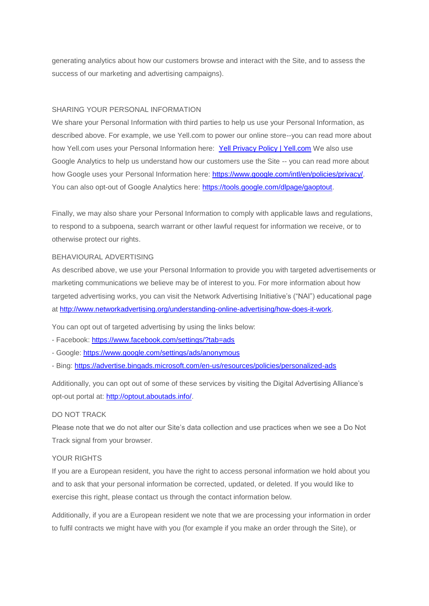generating analytics about how our customers browse and interact with the Site, and to assess the success of our marketing and advertising campaigns).

#### SHARING YOUR PERSONAL INFORMATION

We share your Personal Information with third parties to help us use your Personal Information, as described above. For example, we use Yell.com to power our online store--you can read more about how Yell.com uses your Personal Information here: [Yell Privacy Policy | Yell.com](https://www.yell.com/legal/data-protection-privacy-policy/) We also use Google Analytics to help us understand how our customers use the Site -- you can read more about how Google uses your Personal Information here: [https://www.google.com/intl/en/policies/privacy/.](https://www.google.com/intl/en/policies/privacy/) You can also opt-out of Google Analytics here: [https://tools.google.com/dlpage/gaoptout.](https://tools.google.com/dlpage/gaoptout)

Finally, we may also share your Personal Information to comply with applicable laws and regulations, to respond to a subpoena, search warrant or other lawful request for information we receive, or to otherwise protect our rights.

### BEHAVIOURAL ADVERTISING

As described above, we use your Personal Information to provide you with targeted advertisements or marketing communications we believe may be of interest to you. For more information about how targeted advertising works, you can visit the Network Advertising Initiative's ("NAI") educational page at [http://www.networkadvertising.org/understanding-online-advertising/how-does-it-work.](http://www.networkadvertising.org/understanding-online-advertising/how-does-it-work)

You can opt out of targeted advertising by using the links below:

- Facebook:<https://www.facebook.com/settings/?tab=ads>
- Google:<https://www.google.com/settings/ads/anonymous>
- Bing:<https://advertise.bingads.microsoft.com/en-us/resources/policies/personalized-ads>

Additionally, you can opt out of some of these services by visiting the Digital Advertising Alliance's opt-out portal at: [http://optout.aboutads.info/.](http://optout.aboutads.info/)

#### DO NOT TRACK

Please note that we do not alter our Site's data collection and use practices when we see a Do Not Track signal from your browser.

#### YOUR RIGHTS

If you are a European resident, you have the right to access personal information we hold about you and to ask that your personal information be corrected, updated, or deleted. If you would like to exercise this right, please contact us through the contact information below.

Additionally, if you are a European resident we note that we are processing your information in order to fulfil contracts we might have with you (for example if you make an order through the Site), or